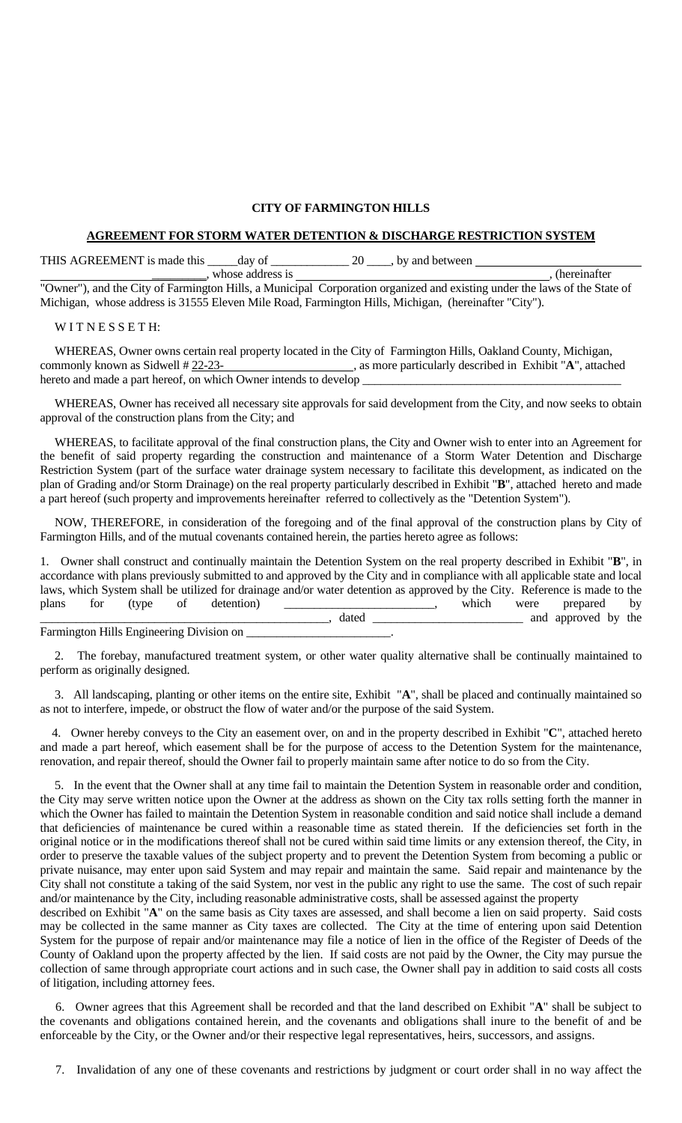## **CITY OF FARMINGTON HILLS**

## **AGREEMENT FOR STORM WATER DETENTION & DISCHARGE RESTRICTION SYSTEM**

THIS AGREEMENT is made this \_\_\_\_\_day of \_\_\_\_\_\_\_\_\_\_\_\_\_\_\_\_\_\_\_\_\_\_\_\_\_\_\_\_\_\_\_\_\_, by and between

 \_\_\_\_\_\_\_\_\_, whose address is , (hereinafter "Owner"), and the City of Farmington Hills, a Municipal Corporation organized and existing under the laws of the State of Michigan, whose address is 31555 Eleven Mile Road, Farmington Hills, Michigan, (hereinafter "City").

WITNESSETH:

 WHEREAS, Owner owns certain real property located in the City of Farmington Hills, Oakland County, Michigan, commonly known as Sidwell # 22-23-<br>
, as more particularly described in Exhibit "A", attached hereto and made a part hereof, on which Owner intends to develop

 WHEREAS, Owner has received all necessary site approvals for said development from the City, and now seeks to obtain approval of the construction plans from the City; and

 WHEREAS, to facilitate approval of the final construction plans, the City and Owner wish to enter into an Agreement for the benefit of said property regarding the construction and maintenance of a Storm Water Detention and Discharge Restriction System (part of the surface water drainage system necessary to facilitate this development, as indicated on the plan of Grading and/or Storm Drainage) on the real property particularly described in Exhibit "**B**", attached hereto and made a part hereof (such property and improvements hereinafter referred to collectively as the "Detention System").

 NOW, THEREFORE, in consideration of the foregoing and of the final approval of the construction plans by City of Farmington Hills, and of the mutual covenants contained herein, the parties hereto agree as follows:

|                                                                                                                              |           |  |        |  |                                          | 1. Owner shall construct and continually maintain the Detention System on the real property described in Exhibit "B", in |  |       |      |                     |    |
|------------------------------------------------------------------------------------------------------------------------------|-----------|--|--------|--|------------------------------------------|--------------------------------------------------------------------------------------------------------------------------|--|-------|------|---------------------|----|
| accordance with plans previously submitted to and approved by the City and in compliance with all applicable state and local |           |  |        |  |                                          |                                                                                                                          |  |       |      |                     |    |
| laws, which System shall be utilized for drainage and/or water detention as approved by the City. Reference is made to the   |           |  |        |  |                                          |                                                                                                                          |  |       |      |                     |    |
|                                                                                                                              | plans for |  | (type) |  | of detention)                            |                                                                                                                          |  | which | were | prepared            | by |
|                                                                                                                              |           |  |        |  |                                          | dated                                                                                                                    |  |       |      | and approved by the |    |
|                                                                                                                              |           |  |        |  | Farmington Hills Engineering Division on |                                                                                                                          |  |       |      |                     |    |

 2. The forebay, manufactured treatment system, or other water quality alternative shall be continually maintained to perform as originally designed.

 3. All landscaping, planting or other items on the entire site, Exhibit "**A**", shall be placed and continually maintained so as not to interfere, impede, or obstruct the flow of water and/or the purpose of the said System.

 4. Owner hereby conveys to the City an easement over, on and in the property described in Exhibit "**C**", attached hereto and made a part hereof, which easement shall be for the purpose of access to the Detention System for the maintenance, renovation, and repair thereof, should the Owner fail to properly maintain same after notice to do so from the City.

 5. In the event that the Owner shall at any time fail to maintain the Detention System in reasonable order and condition, the City may serve written notice upon the Owner at the address as shown on the City tax rolls setting forth the manner in which the Owner has failed to maintain the Detention System in reasonable condition and said notice shall include a demand that deficiencies of maintenance be cured within a reasonable time as stated therein. If the deficiencies set forth in the original notice or in the modifications thereof shall not be cured within said time limits or any extension thereof, the City, in order to preserve the taxable values of the subject property and to prevent the Detention System from becoming a public or private nuisance, may enter upon said System and may repair and maintain the same. Said repair and maintenance by the City shall not constitute a taking of the said System, nor vest in the public any right to use the same. The cost of such repair and/or maintenance by the City, including reasonable administrative costs, shall be assessed against the property

described on Exhibit "**A**" on the same basis as City taxes are assessed, and shall become a lien on said property. Said costs may be collected in the same manner as City taxes are collected. The City at the time of entering upon said Detention System for the purpose of repair and/or maintenance may file a notice of lien in the office of the Register of Deeds of the County of Oakland upon the property affected by the lien. If said costs are not paid by the Owner, the City may pursue the collection of same through appropriate court actions and in such case, the Owner shall pay in addition to said costs all costs of litigation, including attorney fees.

 6. Owner agrees that this Agreement shall be recorded and that the land described on Exhibit "**A**" shall be subject to the covenants and obligations contained herein, and the covenants and obligations shall inure to the benefit of and be enforceable by the City, or the Owner and/or their respective legal representatives, heirs, successors, and assigns.

7. Invalidation of any one of these covenants and restrictions by judgment or court order shall in no way affect the